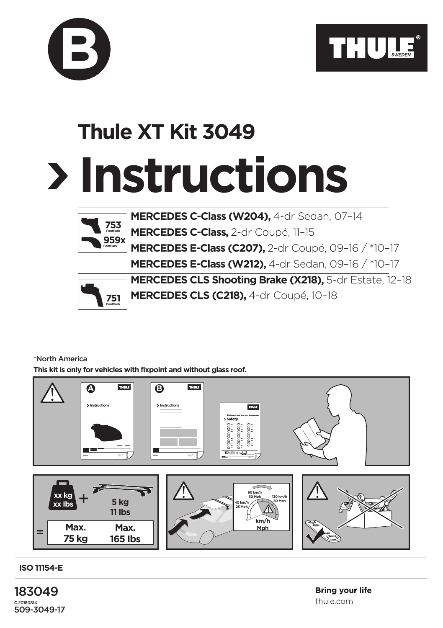

## **Instructions Thule XT Kit 3049**



**B**

**MERCEDES C-Class (W204),** 4-dr Sedan, 07–14 **MERCEDES C-Class,** 2-dr Coupé, 11–15 **MERCEDES E-Class (C207),** 2-dr Coupé, 09–16 / \*10–17 **MERCEDES E-Class (W212),** 4-dr Sedan, 09–16 / \*10–17



**MERCEDES CLS Shooting Brake (X218),** 5-dr Estate, 12–18 **MERCEDES CLS (C218),** 4-dr Coupé, 10–18

## \*North America

**This kit is only for vehicles with fixpoint and without glass roof.**



**ISO 11154-E**

183049 C.20180814 509-3049-17 **Bring vour life** thule com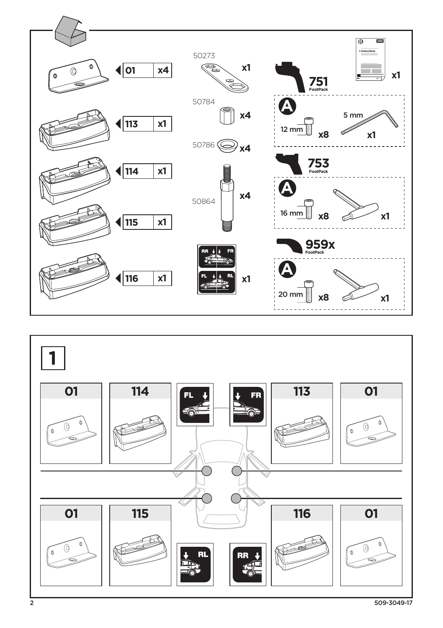

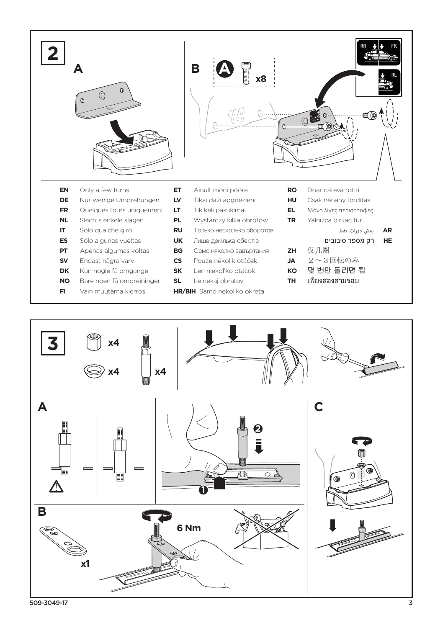



509-3049-17